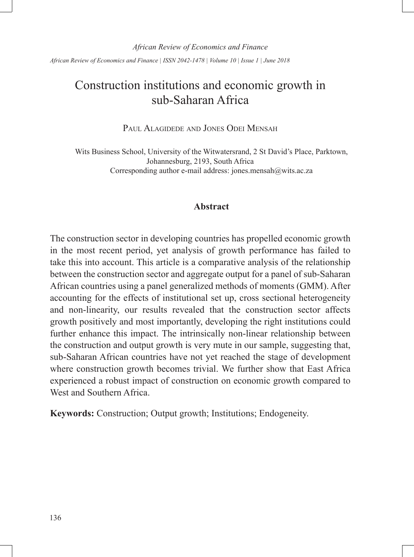*African Review of Economics and Finance | ISSN 2042-1478 | Volume 10 | Issue 1 | June 2018*

# Construction institutions and economic growth in sub-Saharan Africa

PAUL ALAGIDEDE AND JONES ODEI MENSAH

Wits Business School, University of the Witwatersrand, 2 St David's Place, Parktown, Johannesburg, 2193, South Africa Corresponding author e-mail address: jones.mensah@wits.ac.za

# **Abstract**

The construction sector in developing countries has propelled economic growth in the most recent period, yet analysis of growth performance has failed to take this into account. This article is a comparative analysis of the relationship between the construction sector and aggregate output for a panel of sub-Saharan African countries using a panel generalized methods of moments (GMM). After accounting for the effects of institutional set up, cross sectional heterogeneity and non-linearity, our results revealed that the construction sector affects growth positively and most importantly, developing the right institutions could further enhance this impact. The intrinsically non-linear relationship between the construction and output growth is very mute in our sample, suggesting that, sub-Saharan African countries have not yet reached the stage of development where construction growth becomes trivial. We further show that East Africa experienced a robust impact of construction on economic growth compared to West and Southern Africa.

**Keywords:** Construction; Output growth; Institutions; Endogeneity.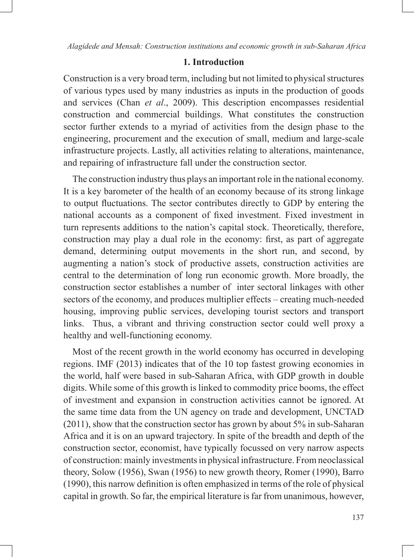# **1. Introduction**

Construction is a very broad term, including but not limited to physical structures of various types used by many industries as inputs in the production of goods and services (Chan *et al*., 2009). This description encompasses residential construction and commercial buildings. What constitutes the construction sector further extends to a myriad of activities from the design phase to the engineering, procurement and the execution of small, medium and large-scale infrastructure projects. Lastly, all activities relating to alterations, maintenance, and repairing of infrastructure fall under the construction sector.

The construction industry thus plays an important role in the national economy. It is a key barometer of the health of an economy because of its strong linkage to output fluctuations. The sector contributes directly to GDP by entering the national accounts as a component of fixed investment. Fixed investment in turn represents additions to the nation's capital stock. Theoretically, therefore, construction may play a dual role in the economy: first, as part of aggregate demand, determining output movements in the short run, and second, by augmenting a nation's stock of productive assets, construction activities are central to the determination of long run economic growth. More broadly, the construction sector establishes a number of inter sectoral linkages with other sectors of the economy, and produces multiplier effects – creating much-needed housing, improving public services, developing tourist sectors and transport links. Thus, a vibrant and thriving construction sector could well proxy a healthy and well-functioning economy.

Most of the recent growth in the world economy has occurred in developing regions. IMF (2013) indicates that of the 10 top fastest growing economies in the world, half were based in sub-Saharan Africa, with GDP growth in double digits. While some of this growth is linked to commodity price booms, the effect of investment and expansion in construction activities cannot be ignored. At the same time data from the UN agency on trade and development, UNCTAD (2011), show that the construction sector has grown by about 5% in sub-Saharan Africa and it is on an upward trajectory. In spite of the breadth and depth of the construction sector, economist, have typically focussed on very narrow aspects of construction: mainly investments in physical infrastructure. From neoclassical theory, Solow (1956), Swan (1956) to new growth theory, Romer (1990), Barro (1990), this narrow definition is often emphasized in terms of the role of physical capital in growth. So far, the empirical literature is far from unanimous, however,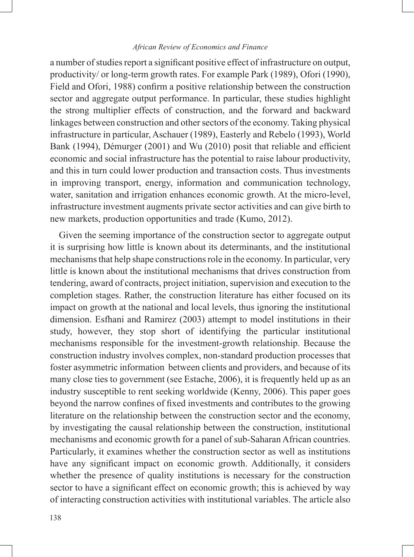a number of studies report a significant positive effect of infrastructure on output, productivity/ or long-term growth rates. For example Park (1989), Ofori (1990), Field and Ofori, 1988) confirm a positive relationship between the construction sector and aggregate output performance. In particular, these studies highlight the strong multiplier effects of construction, and the forward and backward linkages between construction and other sectors of the economy. Taking physical infrastructure in particular, Aschauer (1989), Easterly and Rebelo (1993), World Bank (1994), Démurger (2001) and Wu (2010) posit that reliable and efficient economic and social infrastructure has the potential to raise labour productivity, and this in turn could lower production and transaction costs. Thus investments in improving transport, energy, information and communication technology, water, sanitation and irrigation enhances economic growth. At the micro-level, infrastructure investment augments private sector activities and can give birth to new markets, production opportunities and trade (Kumo, 2012).

Given the seeming importance of the construction sector to aggregate output it is surprising how little is known about its determinants, and the institutional mechanisms that help shape constructions role in the economy. In particular, very little is known about the institutional mechanisms that drives construction from tendering, award of contracts, project initiation, supervision and execution to the completion stages. Rather, the construction literature has either focused on its impact on growth at the national and local levels, thus ignoring the institutional dimension. Esfhani and Ramirez (2003) attempt to model institutions in their study, however, they stop short of identifying the particular institutional mechanisms responsible for the investment-growth relationship. Because the construction industry involves complex, non-standard production processes that foster asymmetric information between clients and providers, and because of its many close ties to government (see Estache, 2006), it is frequently held up as an industry susceptible to rent seeking worldwide (Kenny, 2006). This paper goes beyond the narrow confines of fixed investments and contributes to the growing literature on the relationship between the construction sector and the economy, by investigating the causal relationship between the construction, institutional mechanisms and economic growth for a panel of sub-Saharan African countries. Particularly, it examines whether the construction sector as well as institutions have any significant impact on economic growth. Additionally, it considers whether the presence of quality institutions is necessary for the construction sector to have a significant effect on economic growth; this is achieved by way of interacting construction activities with institutional variables. The article also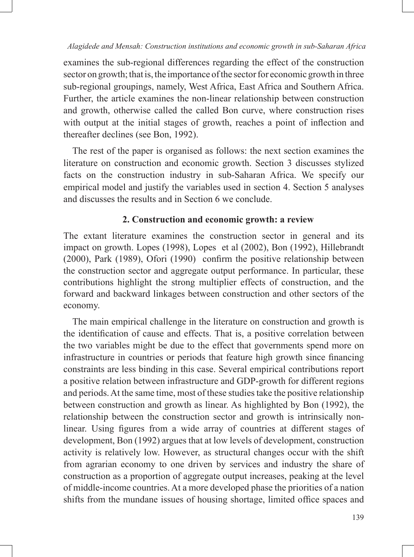examines the sub-regional differences regarding the effect of the construction sector on growth; that is, the importance of the sector for economic growth in three sub-regional groupings, namely, West Africa, East Africa and Southern Africa. Further, the article examines the non-linear relationship between construction and growth, otherwise called the called Bon curve, where construction rises with output at the initial stages of growth, reaches a point of inflection and thereafter declines (see Bon, 1992).

The rest of the paper is organised as follows: the next section examines the literature on construction and economic growth. Section 3 discusses stylized facts on the construction industry in sub-Saharan Africa. We specify our empirical model and justify the variables used in section 4. Section 5 analyses and discusses the results and in Section 6 we conclude.

# **2. Construction and economic growth: a review**

The extant literature examines the construction sector in general and its impact on growth. Lopes (1998), Lopes et al (2002), Bon (1992), Hillebrandt (2000), Park (1989), Ofori (1990) confirm the positive relationship between the construction sector and aggregate output performance. In particular, these contributions highlight the strong multiplier effects of construction, and the forward and backward linkages between construction and other sectors of the economy.

The main empirical challenge in the literature on construction and growth is the identification of cause and effects. That is, a positive correlation between the two variables might be due to the effect that governments spend more on infrastructure in countries or periods that feature high growth since financing constraints are less binding in this case. Several empirical contributions report a positive relation between infrastructure and GDP-growth for different regions and periods. At the same time, most of these studies take the positive relationship between construction and growth as linear. As highlighted by Bon (1992), the relationship between the construction sector and growth is intrinsically nonlinear. Using figures from a wide array of countries at different stages of development, Bon (1992) argues that at low levels of development, construction activity is relatively low. However, as structural changes occur with the shift from agrarian economy to one driven by services and industry the share of construction as a proportion of aggregate output increases, peaking at the level of middle-income countries. At a more developed phase the priorities of a nation shifts from the mundane issues of housing shortage, limited office spaces and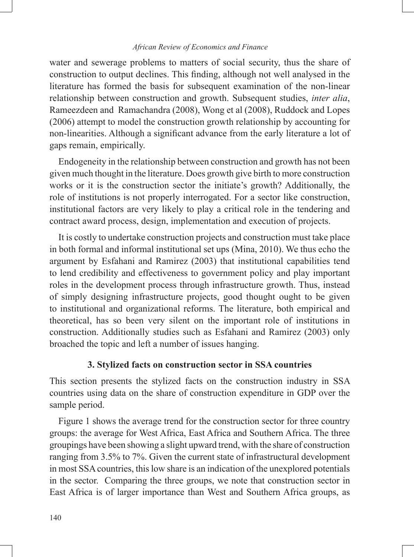water and sewerage problems to matters of social security, thus the share of construction to output declines. This finding, although not well analysed in the literature has formed the basis for subsequent examination of the non-linear relationship between construction and growth. Subsequent studies, *inter alia*, Rameezdeen and Ramachandra (2008), Wong et al (2008), Ruddock and Lopes (2006) attempt to model the construction growth relationship by accounting for non-linearities. Although a significant advance from the early literature a lot of gaps remain, empirically.

Endogeneity in the relationship between construction and growth has not been given much thought in the literature. Does growth give birth to more construction works or it is the construction sector the initiate's growth? Additionally, the role of institutions is not properly interrogated. For a sector like construction, institutional factors are very likely to play a critical role in the tendering and contract award process, design, implementation and execution of projects.

It is costly to undertake construction projects and construction must take place in both formal and informal institutional set ups (Mina, 2010). We thus echo the argument by Esfahani and Ramirez (2003) that institutional capabilities tend to lend credibility and effectiveness to government policy and play important roles in the development process through infrastructure growth. Thus, instead of simply designing infrastructure projects, good thought ought to be given to institutional and organizational reforms. The literature, both empirical and theoretical, has so been very silent on the important role of institutions in construction. Additionally studies such as Esfahani and Ramirez (2003) only broached the topic and left a number of issues hanging.

### **3. Stylized facts on construction sector in SSA countries**

This section presents the stylized facts on the construction industry in SSA countries using data on the share of construction expenditure in GDP over the sample period.

Figure 1 shows the average trend for the construction sector for three country groups: the average for West Africa, East Africa and Southern Africa. The three groupings have been showing a slight upward trend, with the share of construction ranging from 3.5% to 7%. Given the current state of infrastructural development in most SSA countries, this low share is an indication of the unexplored potentials in the sector. Comparing the three groups, we note that construction sector in East Africa is of larger importance than West and Southern Africa groups, as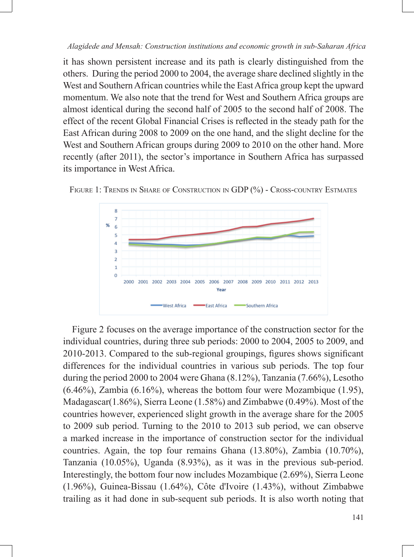it has shown persistent increase and its path is clearly distinguished from the others. During the period 2000 to 2004, the average share declined slightly in the West and Southern African countries while the East Africa group kept the upward momentum. We also note that the trend for West and Southern Africa groups are almost identical during the second half of 2005 to the second half of 2008. The effect of the recent Global Financial Crises is reflected in the steady path for the East African during 2008 to 2009 on the one hand, and the slight decline for the West and Southern African groups during 2009 to 2010 on the other hand. More recently (after 2011), the sector's importance in Southern Africa has surpassed its importance in West Africa.



FIGURE 1: TRENDS IN SHARE OF CONSTRUCTION IN GDP (%) - CROSS-COUNTRY ESTMATES

Figure 2 focuses on the average importance of the construction sector for the individual countries, during three sub periods: 2000 to 2004, 2005 to 2009, and 2010-2013. Compared to the sub-regional groupings, figures shows significant differences for the individual countries in various sub periods. The top four during the period 2000 to 2004 were Ghana (8.12%), Tanzania (7.66%), Lesotho  $(6.46\%)$ , Zambia  $(6.16\%)$ , whereas the bottom four were Mozambique  $(1.95)$ , Madagascar(1.86%), Sierra Leone (1.58%) and Zimbabwe (0.49%). Most of the countries however, experienced slight growth in the average share for the 2005 to 2009 sub period. Turning to the 2010 to 2013 sub period, we can observe a marked increase in the importance of construction sector for the individual countries. Again, the top four remains Ghana (13.80%), Zambia (10.70%), Tanzania (10.05%), Uganda (8.93%), as it was in the previous sub-period. Interestingly, the bottom four now includes Mozambique (2.69%), Sierra Leone (1.96%), Guinea-Bissau (1.64%), Côte d'Ivoire (1.43%), without Zimbabwe trailing as it had done in sub-sequent sub periods. It is also worth noting that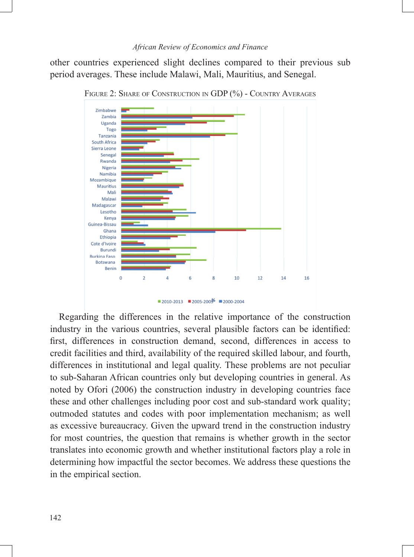other countries experienced slight declines compared to their previous sub period averages. These include Malawi, Mali, Mauritius, and Senegal.



FIGURE 2: SHARE OF CONSTRUCTION IN GDP (%) - COUNTRY AVERAGES

Regarding the differences in the relative importance of the construction industry in the various countries, several plausible factors can be identified: first, differences in construction demand, second, differences in access to credit facilities and third, availability of the required skilled labour, and fourth, differences in institutional and legal quality. These problems are not peculiar to sub-Saharan African countries only but developing countries in general. As noted by Ofori (2006) the construction industry in developing countries face these and other challenges including poor cost and sub-standard work quality; outmoded statutes and codes with poor implementation mechanism; as well as excessive bureaucracy. Given the upward trend in the construction industry for most countries, the question that remains is whether growth in the sector translates into economic growth and whether institutional factors play a role in determining how impactful the sector becomes. We address these questions the in the empirical section.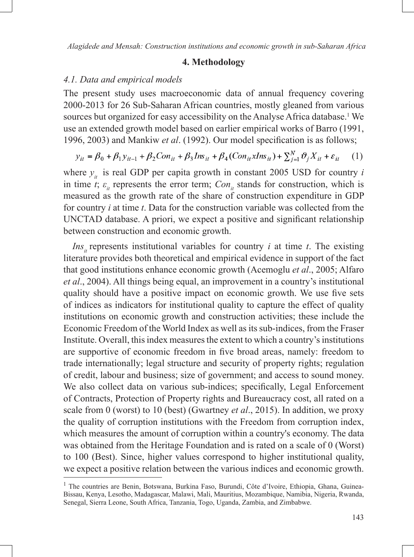#### **4. Methodology**

#### *4.1. Data and empirical models*

The present study uses macroeconomic data of annual frequency covering 2000-2013 for 26 Sub-Saharan African countries, mostly gleaned from various sources but organized for easy accessibility on the Analyse Africa database.<sup>1</sup> We use an extended growth model based on earlier empirical works of Barro (1991, 1996, 2003) and Mankiw *et al.* (1992). Our model specification is as follows;

$$
y_{it} = \beta_0 + \beta_1 y_{it-1} + \beta_2 Con_{it} + \beta_3 Ins_{it} + \beta_4 (Con_{it} x Ins_{it}) + \sum_{j=1}^{N} \vartheta_j X_{it} + \varepsilon_{it} \tag{1}
$$

where  $y_{it}$  is real GDP per capita growth in constant 2005 USD for country *i* in time *t*;  $\varepsilon$ <sub>*it*</sub> represents the error term; *Con<sub>it</sub>* stands for construction, which is measured as the growth rate of the share of construction expenditure in GDP for country *i* at time *t*. Data for the construction variable was collected from the UNCTAD database. A priori, we expect a positive and significant relationship between construction and economic growth.

*Ins<sub>it</sub>* represents institutional variables for country *i* at time *t*. The existing literature provides both theoretical and empirical evidence in support of the fact that good institutions enhance economic growth (Acemoglu *et al*., 2005; Alfaro *et al*., 2004). All things being equal, an improvement in a country's institutional quality should have a positive impact on economic growth. We use five sets of indices as indicators for institutional quality to capture the effect of quality institutions on economic growth and construction activities; these include the Economic Freedom of the World Index as well as its sub-indices, from the Fraser Institute. Overall, this index measures the extent to which a country's institutions are supportive of economic freedom in five broad areas, namely: freedom to trade internationally; legal structure and security of property rights; regulation of credit, labour and business; size of government; and access to sound money. We also collect data on various sub-indices; specifically, Legal Enforcement of Contracts, Protection of Property rights and Bureaucracy cost, all rated on a scale from 0 (worst) to 10 (best) (Gwartney *et al*., 2015). In addition, we proxy the quality of corruption institutions with the Freedom from corruption index, which measures the amount of corruption within a country's economy. The data was obtained from the Heritage Foundation and is rated on a scale of 0 (Worst) to 100 (Best). Since, higher values correspond to higher institutional quality, we expect a positive relation between the various indices and economic growth.

<sup>&</sup>lt;sup>1</sup> The countries are Benin, Botswana, Burkina Faso, Burundi, Côte d'Ivoire, Ethiopia, Ghana, Guinea-Bissau, Kenya, Lesotho, Madagascar, Malawi, Mali, Mauritius, Mozambique, Namibia, Nigeria, Rwanda, Senegal, Sierra Leone, South Africa, Tanzania, Togo, Uganda, Zambia, and Zimbabwe.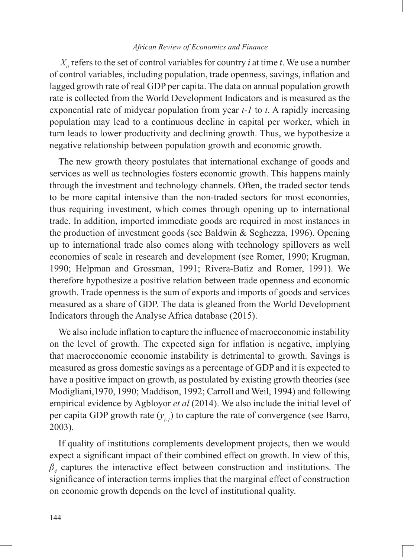$X_{it}$  refers to the set of control variables for country *i* at time *t*. We use a number of control variables, including population, trade openness, savings, inflation and lagged growth rate of real GDP per capita. The data on annual population growth rate is collected from the World Development Indicators and is measured as the exponential rate of midyear population from year *t-1* to *t*. A rapidly increasing population may lead to a continuous decline in capital per worker, which in turn leads to lower productivity and declining growth. Thus, we hypothesize a negative relationship between population growth and economic growth.

The new growth theory postulates that international exchange of goods and services as well as technologies fosters economic growth. This happens mainly through the investment and technology channels. Often, the traded sector tends to be more capital intensive than the non-traded sectors for most economies, thus requiring investment, which comes through opening up to international trade. In addition, imported immediate goods are required in most instances in the production of investment goods (see Baldwin & Seghezza, 1996). Opening up to international trade also comes along with technology spillovers as well economies of scale in research and development (see Romer, 1990; Krugman, 1990; Helpman and Grossman, 1991; Rivera-Batiz and Romer, 1991). We therefore hypothesize a positive relation between trade openness and economic growth. Trade openness is the sum of exports and imports of goods and services measured as a share of GDP. The data is gleaned from the World Development Indicators through the Analyse Africa database (2015).

We also include inflation to capture the influence of macroeconomic instability on the level of growth. The expected sign for inflation is negative, implying that macroeconomic economic instability is detrimental to growth. Savings is measured as gross domestic savings as a percentage of GDP and it is expected to have a positive impact on growth, as postulated by existing growth theories (see Modigliani,1970, 1990; Maddison, 1992; Carroll and Weil, 1994) and following empirical evidence by Agbloyor *et al* (2014). We also include the initial level of per capita GDP growth rate  $(y_{t})$  to capture the rate of convergence (see Barro, 2003).

If quality of institutions complements development projects, then we would expect a significant impact of their combined effect on growth. In view of this, *β4* captures the interactive effect between construction and institutions. The significance of interaction terms implies that the marginal effect of construction on economic growth depends on the level of institutional quality.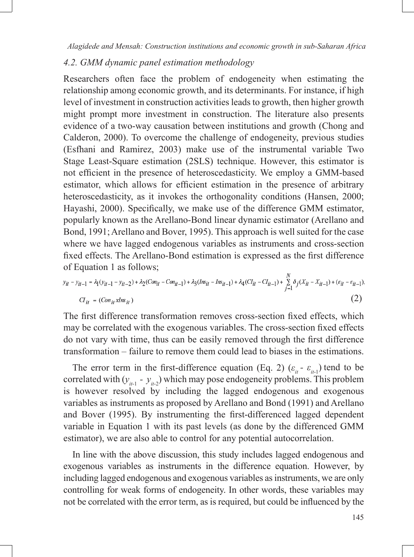# *4.2. GMM dynamic panel estimation methodology*

Researchers often face the problem of endogeneity when estimating the relationship among economic growth, and its determinants. For instance, if high level of investment in construction activities leads to growth, then higher growth might prompt more investment in construction. The literature also presents evidence of a two-way causation between institutions and growth (Chong and Calderon, 2000). To overcome the challenge of endogeneity, previous studies (Esfhani and Ramirez, 2003) make use of the instrumental variable Two Stage Least-Square estimation (2SLS) technique. However, this estimator is not efficient in the presence of heteroscedasticity. We employ a GMM-based estimator, which allows for efficient estimation in the presence of arbitrary heteroscedasticity, as it invokes the orthogonality conditions (Hansen, 2000; Hayashi, 2000). Specifically, we make use of the difference GMM estimator, popularly known as the Arellano-Bond linear dynamic estimator (Arellano and Bond, 1991; Arellano and Bover, 1995). This approach is well suited for the case where we have lagged endogenous variables as instruments and cross-section fixed effects. The Arellano-Bond estimation is expressed as the first difference of Equation 1 as follows;

$$
y_{it} - y_{it-1} = \lambda_1 (y_{it-1} - y_{it-2}) + \lambda_2 (Con_{it} - Con_{it-1}) + \lambda_3 (Ins_{it} - Ins_{it-1}) + \lambda_4 (Cl_{it} - Cl_{it-1}) + \sum_{j=1}^{N} \delta_j (X_{it} - X_{it-1}) + (\varepsilon_{it} - \varepsilon_{it-1}).
$$
  
\n
$$
Cl_{it} = (Con_{it} xIns_{it})
$$
\n(2)

The first difference transformation removes cross-section fixed effects, which may be correlated with the exogenous variables. The cross-section fixed effects do not vary with time, thus can be easily removed through the first difference transformation – failure to remove them could lead to biases in the estimations.

The error term in the first-difference equation (Eq. 2) ( $\varepsilon_i$  -  $\varepsilon_{i+1}$ ) tend to be correlated with  $(y_{i-1} - y_{i-2})$  which may pose endogeneity problems. This problem is however resolved by including the lagged endogenous and exogenous variables as instruments as proposed by Arellano and Bond (1991) and Arellano and Bover (1995). By instrumenting the first-differenced lagged dependent variable in Equation 1 with its past levels (as done by the differenced GMM estimator), we are also able to control for any potential autocorrelation.

In line with the above discussion, this study includes lagged endogenous and exogenous variables as instruments in the difference equation. However, by including lagged endogenous and exogenous variables as instruments, we are only controlling for weak forms of endogeneity. In other words, these variables may not be correlated with the error term, as is required, but could be influenced by the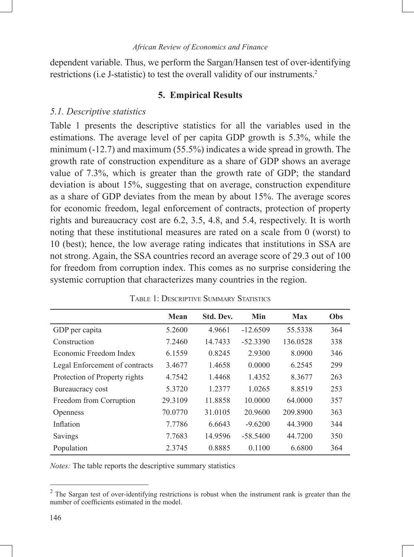dependent variable. Thus, we perform the Sargan/Hansen test of over-identifying restrictions (i.e J-statistic) to test the overall validity of our instruments.2

# **5. Empirical Results**

#### *5.1. Descriptive statistics*

Table 1 presents the descriptive statistics for all the variables used in the estimations. The average level of per capita GDP growth is 5.3%, while the minimum (-12.7) and maximum (55.5%) indicates a wide spread in growth. The growth rate of construction expenditure as a share of GDP shows an average value of 7.3%, which is greater than the growth rate of GDP; the standard deviation is about 15%, suggesting that on average, construction expenditure as a share of GDP deviates from the mean by about 15%. The average scores for economic freedom, legal enforcement of contracts, protection of property rights and bureaucracy cost are 6.2, 3.5, 4.8, and 5.4, respectively. It is worth noting that these institutional measures are rated on a scale from 0 (worst) to 10 (best); hence, the low average rating indicates that institutions in SSA are not strong. Again, the SSA countries record an average score of 29.3 out of 100 for freedom from corruption index. This comes as no surprise considering the systemic corruption that characterizes many countries in the region.

|                                | Mean    | Std. Dev. | Min        | <b>Max</b> | Obs |
|--------------------------------|---------|-----------|------------|------------|-----|
| GDP per capita                 | 5.2600  | 4.9661    | $-12.6509$ | 55.5338    | 364 |
| Construction                   | 7.2460  | 14.7433   | $-52.3390$ | 136.0528   | 338 |
| Economic Freedom Index         | 6.1559  | 0.8245    | 2.9300     | 8.0900     | 346 |
| Legal Enforcement of contracts | 3.4677  | 1.4658    | 0.0000     | 6.2545     | 299 |
| Protection of Property rights  | 4.7542  | 1.4468    | 1.4352     | 8.3677     | 263 |
| Bureaucracy cost               | 5.3720  | 1.2377    | 1.0265     | 8.8519     | 253 |
| Freedom from Corruption        | 29.3109 | 11.8858   | 10.0000    | 64.0000    | 357 |
| <b>Openness</b>                | 70.0770 | 31.0105   | 20.9600    | 209.8900   | 363 |
| Inflation                      | 7.7786  | 6.6643    | $-9.6200$  | 44.3900    | 344 |
| Savings                        | 7.7683  | 14.9596   | $-58.5400$ | 44.7200    | 350 |
| Population                     | 2.3745  | 0.8885    | 0.1100     | 6.6800     | 364 |

Table 1: Descriptive Summary Statistics

*Notes:* The table reports the descriptive summary statistics

 $2$  The Sargan test of over-identifying restrictions is robust when the instrument rank is greater than the number of coefficients estimated in the model.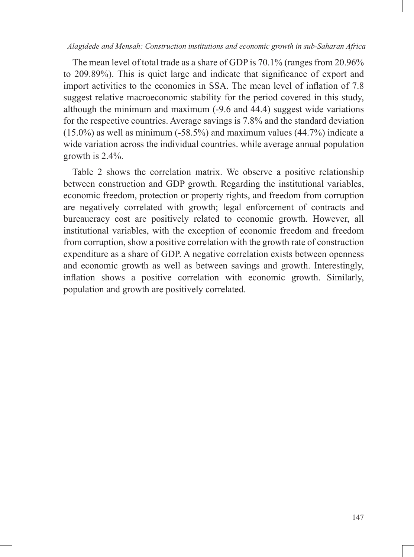The mean level of total trade as a share of GDP is 70.1% (ranges from 20.96% to 209.89%). This is quiet large and indicate that significance of export and import activities to the economies in SSA. The mean level of inflation of 7.8 suggest relative macroeconomic stability for the period covered in this study, although the minimum and maximum (-9.6 and 44.4) suggest wide variations for the respective countries. Average savings is 7.8% and the standard deviation (15.0%) as well as minimum (-58.5%) and maximum values (44.7%) indicate a wide variation across the individual countries. while average annual population growth is 2.4%.

Table 2 shows the correlation matrix. We observe a positive relationship between construction and GDP growth. Regarding the institutional variables, economic freedom, protection or property rights, and freedom from corruption are negatively correlated with growth; legal enforcement of contracts and bureaucracy cost are positively related to economic growth. However, all institutional variables, with the exception of economic freedom and freedom from corruption, show a positive correlation with the growth rate of construction expenditure as a share of GDP. A negative correlation exists between openness and economic growth as well as between savings and growth. Interestingly, inflation shows a positive correlation with economic growth. Similarly, population and growth are positively correlated.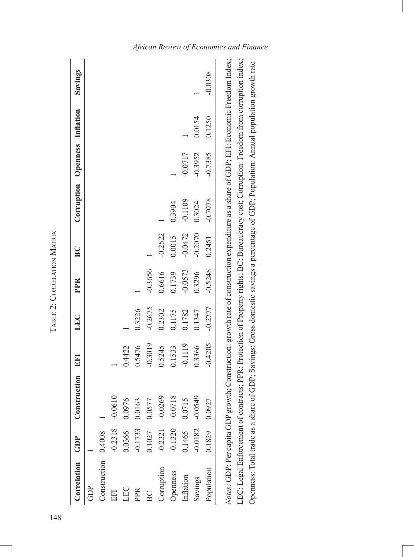| Correlation GDP     |               | Construction | EFI       | LEC       | PPR       | BC        | Corruption Openness Inflation |           |        | Savings   |
|---------------------|---------------|--------------|-----------|-----------|-----------|-----------|-------------------------------|-----------|--------|-----------|
| GDP                 |               |              |           |           |           |           |                               |           |        |           |
| Constraction 0.4008 |               |              |           |           |           |           |                               |           |        |           |
| EFI                 | $-0.2318$     | $-0.0610$    |           |           |           |           |                               |           |        |           |
| LEC                 | 0.0366        | 0.0976       | 0.4422    |           |           |           |                               |           |        |           |
| PPR                 | $-0.1733$     | 0.0163       | 0.5476    | 0.3226    |           |           |                               |           |        |           |
| $_{\rm BC}$         | 0.1027        | 0.0577       | $-0.3019$ | $-0.2675$ | $-0.3656$ |           |                               |           |        |           |
| Corruption          | $-0.2321$     | $-0.0269$    | 0.5245    | 0.2302    | 0.6616    | $-0.2522$ |                               |           |        |           |
| Openness            | $-0.1320$     | $-0.0718$    | 0.1533    | 0.1175    | 0.1739    | 0.0015    | 0.3904                        |           |        |           |
| Inflation           | 0.1465        | 0.0715       | $-0.1119$ | 0.1782    | $-0.0573$ | $-0.0472$ | $-0.1109$                     | $-0.0717$ |        |           |
| Savings             | $-0.0182$     | $-0.0549$    | 0.3366    | 0.1347    | 0.3296    | $-0.2070$ | 0.3024                        | $-0.3952$ | 0.0154 |           |
| Population          | 0.1829 0.0927 |              | $-0.4205$ | $-0.2777$ | $-0.5248$ | 0.2451    | $-0.7078$                     | $-0.7385$ | 0.1250 | $-0.0308$ |

TABLE 2: CORRELATION MATRIX Table 2: Correlation Matrix

LEC: Legal Enforcement of contracts; PPR: Protection of Property rights; BC: Bureaucracy cost; Corruption: Freedom from corruption index; LEC: Legal Enforcement of contracts; PPR: Protection of Property rights; BC: Bureaucracy cost; Corruption: Freedom from corruption index; Openness: Total trade as a share of GDP; Savings: Gross domestic savings a percentage of GDP; Population: Annual population growth rate Openness: Total trade as a share of GDP; Savings: Gross domestic savings a percentage of GDP; Population: Annual population growth rate

# *African Review of Economics and Finance*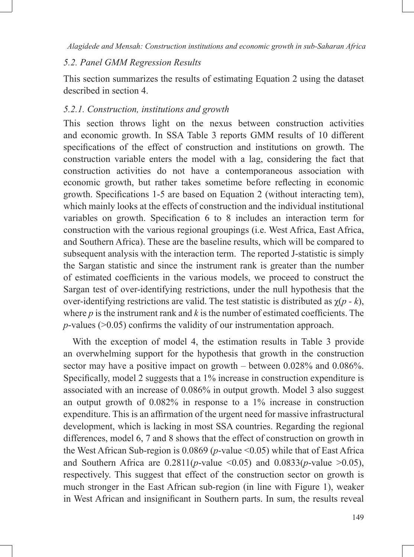# *5.2. Panel GMM Regression Results*

This section summarizes the results of estimating Equation 2 using the dataset described in section 4.

# *5.2.1. Construction, institutions and growth*

This section throws light on the nexus between construction activities and economic growth. In SSA Table 3 reports GMM results of 10 different specifications of the effect of construction and institutions on growth. The construction variable enters the model with a lag, considering the fact that construction activities do not have a contemporaneous association with economic growth, but rather takes sometime before reflecting in economic growth. Specifications 1-5 are based on Equation 2 (without interacting tem), which mainly looks at the effects of construction and the individual institutional variables on growth. Specification 6 to 8 includes an interaction term for construction with the various regional groupings (i.e. West Africa, East Africa, and Southern Africa). These are the baseline results, which will be compared to subsequent analysis with the interaction term. The reported J-statistic is simply the Sargan statistic and since the instrument rank is greater than the number of estimated coefficients in the various models, we proceed to construct the Sargan test of over-identifying restrictions, under the null hypothesis that the over-identifying restrictions are valid. The test statistic is distributed as χ(*p - k*), where *p* is the instrument rank and *k* is the number of estimated coefficients. The *p*-values (>0.05) confirms the validity of our instrumentation approach.

With the exception of model 4, the estimation results in Table 3 provide an overwhelming support for the hypothesis that growth in the construction sector may have a positive impact on growth – between 0.028% and 0.086%. Specifically, model 2 suggests that a 1% increase in construction expenditure is associated with an increase of 0.086% in output growth. Model 3 also suggest an output growth of 0.082% in response to a 1% increase in construction expenditure. This is an affirmation of the urgent need for massive infrastructural development, which is lacking in most SSA countries. Regarding the regional differences, model 6, 7 and 8 shows that the effect of construction on growth in the West African Sub-region is  $0.0869$  ( $p$ -value <0.05) while that of East Africa and Southern Africa are  $0.2811(p$ -value <0.05) and  $0.0833(p$ -value >0.05), respectively. This suggest that effect of the construction sector on growth is much stronger in the East African sub-region (in line with Figure 1), weaker in West African and insignificant in Southern parts. In sum, the results reveal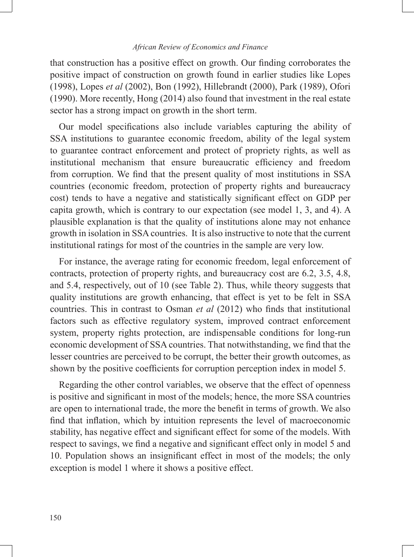that construction has a positive effect on growth. Our finding corroborates the positive impact of construction on growth found in earlier studies like Lopes (1998), Lopes *et al* (2002), Bon (1992), Hillebrandt (2000), Park (1989), Ofori (1990). More recently, Hong (2014) also found that investment in the real estate sector has a strong impact on growth in the short term.

Our model specifications also include variables capturing the ability of SSA institutions to guarantee economic freedom, ability of the legal system to guarantee contract enforcement and protect of propriety rights, as well as institutional mechanism that ensure bureaucratic efficiency and freedom from corruption. We find that the present quality of most institutions in SSA countries (economic freedom, protection of property rights and bureaucracy cost) tends to have a negative and statistically significant effect on GDP per capita growth, which is contrary to our expectation (see model 1, 3, and 4). A plausible explanation is that the quality of institutions alone may not enhance growth in isolation in SSA countries. It is also instructive to note that the current institutional ratings for most of the countries in the sample are very low.

For instance, the average rating for economic freedom, legal enforcement of contracts, protection of property rights, and bureaucracy cost are 6.2, 3.5, 4.8, and 5.4, respectively, out of 10 (see Table 2). Thus, while theory suggests that quality institutions are growth enhancing, that effect is yet to be felt in SSA countries. This in contrast to Osman *et al* (2012) who finds that institutional factors such as effective regulatory system, improved contract enforcement system, property rights protection, are indispensable conditions for long-run economic development of SSA countries. That notwithstanding, we find that the lesser countries are perceived to be corrupt, the better their growth outcomes, as shown by the positive coefficients for corruption perception index in model 5.

Regarding the other control variables, we observe that the effect of openness is positive and significant in most of the models; hence, the more SSA countries are open to international trade, the more the benefit in terms of growth. We also find that inflation, which by intuition represents the level of macroeconomic stability, has negative effect and significant effect for some of the models. With respect to savings, we find a negative and significant effect only in model 5 and 10. Population shows an insignificant effect in most of the models; the only exception is model 1 where it shows a positive effect.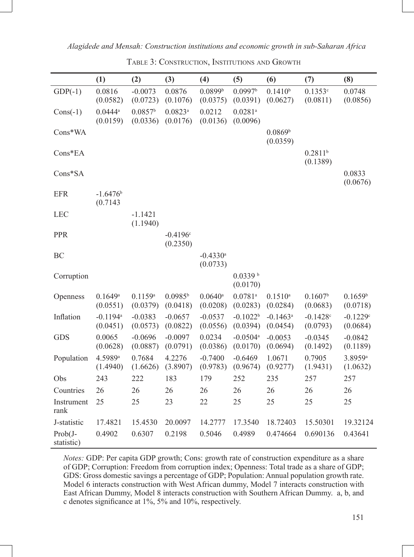|                          | (1)                                | (2)                             | (3)                               | (4)                                | (5)                                | (6)                                | (7)                             | (8)                             |
|--------------------------|------------------------------------|---------------------------------|-----------------------------------|------------------------------------|------------------------------------|------------------------------------|---------------------------------|---------------------------------|
| $GDP(-1)$                | 0.0816<br>(0.0582)                 | $-0.0073$<br>(0.0723)           | 0.0876<br>(0.1076)                | 0.0899 <sup>b</sup><br>(0.0375)    | 0.0997 <sup>b</sup><br>(0.0391)    | $0.1410^{b}$<br>(0.0627)           | 0.1353c<br>(0.0811)             | 0.0748<br>(0.0856)              |
| $Cons(-1)$               | $0.0444^a$<br>(0.0159)             | 0.0857 <sup>b</sup><br>(0.0336) | $0.0823$ <sup>a</sup><br>(0.0176) | 0.0212<br>(0.0136)                 | $0.0281^{\rm a}$<br>(0.0096)       |                                    |                                 |                                 |
| Cons*WA                  |                                    |                                 |                                   |                                    |                                    | 0.0869 <sup>b</sup><br>(0.0359)    |                                 |                                 |
| Cons*EA                  |                                    |                                 |                                   |                                    |                                    |                                    | $0.2811^{b}$<br>(0.1389)        |                                 |
| Cons*SA                  |                                    |                                 |                                   |                                    |                                    |                                    |                                 | 0.0833<br>(0.0676)              |
| <b>EFR</b>               | $-1.6476$<br>(0.7143)              |                                 |                                   |                                    |                                    |                                    |                                 |                                 |
| <b>LEC</b>               |                                    | $-1.1421$<br>(1.1940)           |                                   |                                    |                                    |                                    |                                 |                                 |
| PPR                      |                                    |                                 | $-0.4196c$<br>(0.2350)            |                                    |                                    |                                    |                                 |                                 |
| BC                       |                                    |                                 |                                   | $-0.4330$ <sup>a</sup><br>(0.0733) |                                    |                                    |                                 |                                 |
| Corruption               |                                    |                                 |                                   |                                    | $0.0339$ b<br>(0.0170)             |                                    |                                 |                                 |
| Openness                 | 0.1649a<br>(0.0551)                | 0.1159a<br>(0.0379)             | $0.0985^{b}$<br>(0.0418)          | $0.0640$ <sup>a</sup><br>(0.0208)  | $0.0781$ <sup>a</sup><br>(0.0283)  | $0.1510^a$<br>(0.0284)             | 0.1607 <sup>b</sup><br>(0.0683) | 0.1659 <sup>b</sup><br>(0.0718) |
| Inflation                | $-0.1194$ <sup>a</sup><br>(0.0451) | $-0.0383$<br>(0.0573)           | $-0.0657$<br>(0.0822)             | $-0.0537$<br>(0.0556)              | $-0.1022b$<br>(0.0394)             | $-0.1463$ <sup>a</sup><br>(0.0454) | $-0.1428c$<br>(0.0793)          | $-0.1229c$<br>(0.0684)          |
| <b>GDS</b>               | 0.0065<br>(0.0628)                 | $-0.0696$<br>(0.0887)           | $-0.0097$<br>(0.0791)             | 0.0234<br>(0.0386)                 | $-0.0504$ <sup>a</sup><br>(0.0170) | $-0.0053$<br>(0.0694)              | $-0.0345$<br>(0.1492)           | $-0.0842$<br>(0.1189)           |
| Population               | 4.5989 <sup>a</sup><br>(1.4940)    | 0.7684<br>(1.6626)              | 4.2276<br>(3.8907)                | $-0.7400$<br>(0.9783)              | $-0.6469$<br>(0.9674)              | 1.0671<br>(0.9277)                 | 0.7905<br>(1.9431)              | 3.8959 <sup>a</sup><br>(1.0632) |
| Obs                      | 243                                | 222                             | 183                               | 179                                | 252                                | 235                                | 257                             | 257                             |
| Countries                | 26                                 | 26                              | 26                                | 26                                 | 26                                 | 26                                 | 26                              | 26                              |
| Instrument<br>rank       | 25                                 | 25                              | 23                                | 22                                 | 25                                 | 25                                 | 25                              | 25                              |
| J-statistic              | 17.4821                            | 15.4530                         | 20.0097                           | 14.2777                            | 17.3540                            | 18.72403                           | 15.50301                        | 19.32124                        |
| $Prob(J -$<br>statistic) | 0.4902                             | 0.6307                          | 0.2198                            | 0.5046                             | 0.4989                             | 0.474664                           | 0.690136                        | 0.43641                         |

Table 3: Construction, Institutions and Growth

*Notes:* GDP: Per capita GDP growth; Cons: growth rate of construction expenditure as a share of GDP; Corruption: Freedom from corruption index; Openness: Total trade as a share of GDP; GDS: Gross domestic savings a percentage of GDP; Population: Annual population growth rate. Model 6 interacts construction with West African dummy, Model 7 interacts construction with East African Dummy, Model 8 interacts construction with Southern African Dummy. a, b, and c denotes significance at 1%, 5% and 10%, respectively.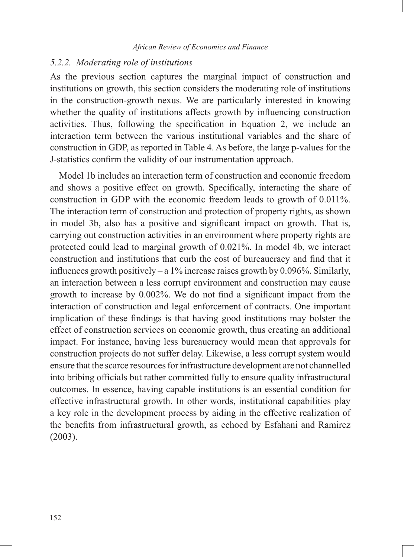#### *5.2.2. Moderating role of institutions*

As the previous section captures the marginal impact of construction and institutions on growth, this section considers the moderating role of institutions in the construction-growth nexus. We are particularly interested in knowing whether the quality of institutions affects growth by influencing construction activities. Thus, following the specification in Equation 2, we include an interaction term between the various institutional variables and the share of construction in GDP, as reported in Table 4. As before, the large p-values for the J-statistics confirm the validity of our instrumentation approach.

Model 1b includes an interaction term of construction and economic freedom and shows a positive effect on growth. Specifically, interacting the share of construction in GDP with the economic freedom leads to growth of 0.011%. The interaction term of construction and protection of property rights, as shown in model 3b, also has a positive and significant impact on growth. That is, carrying out construction activities in an environment where property rights are protected could lead to marginal growth of 0.021%. In model 4b, we interact construction and institutions that curb the cost of bureaucracy and find that it influences growth positively – a 1% increase raises growth by 0.096%. Similarly, an interaction between a less corrupt environment and construction may cause growth to increase by 0.002%. We do not find a significant impact from the interaction of construction and legal enforcement of contracts. One important implication of these findings is that having good institutions may bolster the effect of construction services on economic growth, thus creating an additional impact. For instance, having less bureaucracy would mean that approvals for construction projects do not suffer delay. Likewise, a less corrupt system would ensure that the scarce resources for infrastructure development are not channelled into bribing officials but rather committed fully to ensure quality infrastructural outcomes. In essence, having capable institutions is an essential condition for effective infrastructural growth. In other words, institutional capabilities play a key role in the development process by aiding in the effective realization of the benefits from infrastructural growth, as echoed by Esfahani and Ramirez (2003).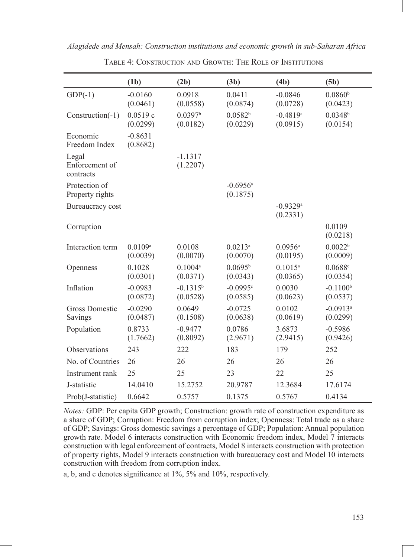| Alagidede and Mensah: Construction institutions and economic growth in sub-Saharan Africa |  |
|-------------------------------------------------------------------------------------------|--|
|                                                                                           |  |

|                                      | (1b)                  | (2b)                            | (3b)                               | (4b)                               | (5b)                               |
|--------------------------------------|-----------------------|---------------------------------|------------------------------------|------------------------------------|------------------------------------|
| $GDP(-1)$                            | $-0.0160$<br>(0.0461) | 0.0918<br>(0.0558)              | 0.0411<br>(0.0874)                 | $-0.0846$<br>(0.0728)              | 0.0860 <sup>b</sup><br>(0.0423)    |
| Construction(-1)                     | 0.0519c<br>(0.0299)   | 0.0397 <sup>b</sup><br>(0.0182) | 0.0582 <sup>b</sup><br>(0.0229)    | $-0.4819$ <sup>a</sup><br>(0.0915) | $0.0348^{b}$<br>(0.0154)           |
| Economic<br>Freedom Index            | $-0.8631$<br>(0.8682) |                                 |                                    |                                    |                                    |
| Legal<br>Enforcement of<br>contracts |                       | $-1.1317$<br>(1.2207)           |                                    |                                    |                                    |
| Protection of<br>Property rights     |                       |                                 | $-0.6956$ <sup>a</sup><br>(0.1875) |                                    |                                    |
| Bureaucracy cost                     |                       |                                 |                                    | $-0.9329a$<br>(0.2331)             |                                    |
| Corruption                           |                       |                                 |                                    |                                    | 0.0109<br>(0.0218)                 |
| Interaction term                     | 0.0109a<br>(0.0039)   | 0.0108<br>(0.0070)              | $0.0213^a$<br>(0.0070)             | $0.0956$ <sup>a</sup><br>(0.0195)  | 0.0022 <sup>b</sup><br>(0.0009)    |
| Openness                             | 0.1028<br>(0.0301)    | $0.1004^a$<br>(0.0371)          | 0.0695 <sup>b</sup><br>(0.0343)    | $0.1015^a$<br>(0.0365)             | 0.0688c<br>(0.0354)                |
| Inflation                            | $-0.0983$<br>(0.0872) | $-0.1315^{b}$<br>(0.0528)       | $-0.0995c$<br>(0.0585)             | 0.0030<br>(0.0623)                 | $-0.1100b$<br>(0.0537)             |
| <b>Gross Domestic</b><br>Savings     | $-0.0290$<br>(0.0487) | 0.0649<br>(0.1508)              | $-0.0725$<br>(0.0638)              | 0.0102<br>(0.0619)                 | $-0.0913$ <sup>a</sup><br>(0.0299) |
| Population                           | 0.8733<br>(1.7662)    | $-0.9477$<br>(0.8092)           | 0.0786<br>(2.9671)                 | 3.6873<br>(2.9415)                 | $-0.5986$<br>(0.9426)              |
| Observations                         | 243                   | 222                             | 183                                | 179                                | 252                                |
| No. of Countries                     | 26                    | 26                              | 26                                 | 26                                 | 26                                 |
| Instrument rank                      | 25                    | 25                              | 23                                 | 22                                 | 25                                 |
| J-statistic                          | 14.0410               | 15.2752                         | 20.9787                            | 12.3684                            | 17.6174                            |
| Prob(J-statistic)                    | 0.6642                | 0.5757                          | 0.1375                             | 0.5767                             | 0.4134                             |

Table 4: Construction and Growth: The Role of Institutions

*Notes:* GDP: Per capita GDP growth; Construction: growth rate of construction expenditure as a share of GDP; Corruption: Freedom from corruption index; Openness: Total trade as a share of GDP; Savings: Gross domestic savings a percentage of GDP; Population: Annual population growth rate. Model 6 interacts construction with Economic freedom index, Model 7 interacts construction with legal enforcement of contracts, Model 8 interacts construction with protection of property rights, Model 9 interacts construction with bureaucracy cost and Model 10 interacts construction with freedom from corruption index.

a, b, and c denotes significance at 1%, 5% and 10%, respectively.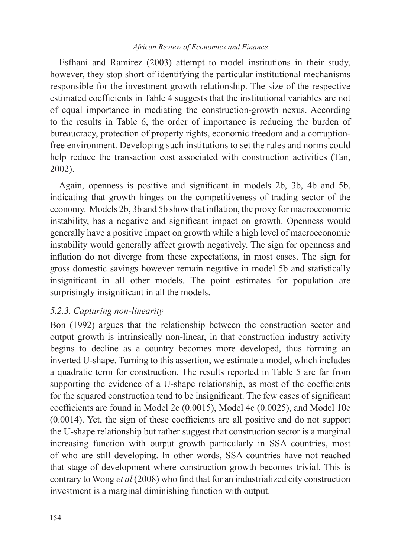Esfhani and Ramirez (2003) attempt to model institutions in their study, however, they stop short of identifying the particular institutional mechanisms responsible for the investment growth relationship. The size of the respective estimated coefficients in Table 4 suggests that the institutional variables are not of equal importance in mediating the construction-growth nexus. According to the results in Table 6, the order of importance is reducing the burden of bureaucracy, protection of property rights, economic freedom and a corruptionfree environment. Developing such institutions to set the rules and norms could help reduce the transaction cost associated with construction activities (Tan, 2002).

Again, openness is positive and significant in models 2b, 3b, 4b and 5b, indicating that growth hinges on the competitiveness of trading sector of the economy. Models 2b, 3b and 5b show that inflation, the proxy for macroeconomic instability, has a negative and significant impact on growth. Openness would generally have a positive impact on growth while a high level of macroeconomic instability would generally affect growth negatively. The sign for openness and inflation do not diverge from these expectations, in most cases. The sign for gross domestic savings however remain negative in model 5b and statistically insignificant in all other models. The point estimates for population are surprisingly insignificant in all the models.

#### *5.2.3. Capturing non-linearity*

Bon (1992) argues that the relationship between the construction sector and output growth is intrinsically non-linear, in that construction industry activity begins to decline as a country becomes more developed, thus forming an inverted U-shape. Turning to this assertion, we estimate a model, which includes a quadratic term for construction. The results reported in Table 5 are far from supporting the evidence of a U-shape relationship, as most of the coefficients for the squared construction tend to be insignificant. The few cases of significant coefficients are found in Model 2c (0.0015), Model 4c (0.0025), and Model 10c (0.0014). Yet, the sign of these coefficients are all positive and do not support the U-shape relationship but rather suggest that construction sector is a marginal increasing function with output growth particularly in SSA countries, most of who are still developing. In other words, SSA countries have not reached that stage of development where construction growth becomes trivial. This is contrary to Wong *et al* (2008) who find that for an industrialized city construction investment is a marginal diminishing function with output.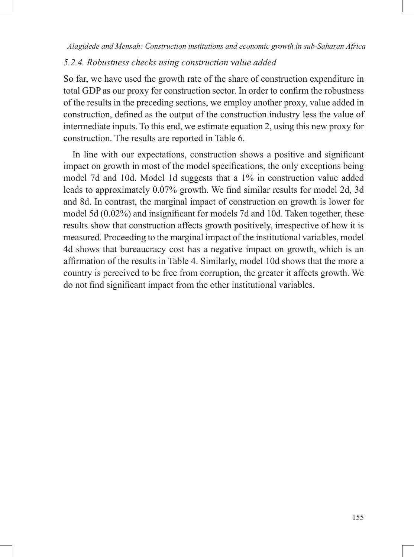# *5.2.4. Robustness checks using construction value added*

So far, we have used the growth rate of the share of construction expenditure in total GDP as our proxy for construction sector. In order to confirm the robustness of the results in the preceding sections, we employ another proxy, value added in construction, defined as the output of the construction industry less the value of intermediate inputs. To this end, we estimate equation 2, using this new proxy for construction. The results are reported in Table 6.

In line with our expectations, construction shows a positive and significant impact on growth in most of the model specifications, the only exceptions being model 7d and 10d. Model 1d suggests that a 1% in construction value added leads to approximately 0.07% growth. We find similar results for model 2d, 3d and 8d. In contrast, the marginal impact of construction on growth is lower for model 5d (0.02%) and insignificant for models 7d and 10d. Taken together, these results show that construction affects growth positively, irrespective of how it is measured. Proceeding to the marginal impact of the institutional variables, model 4d shows that bureaucracy cost has a negative impact on growth, which is an affirmation of the results in Table 4. Similarly, model 10d shows that the more a country is perceived to be free from corruption, the greater it affects growth. We do not find significant impact from the other institutional variables.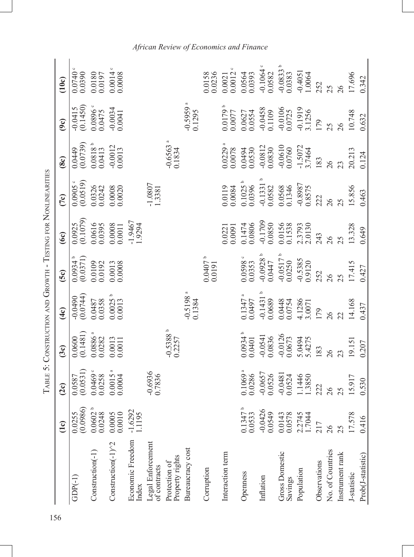| 156 |                                   |                                                                                                                                              |                                                                                                                  |                                                                                                                                               |                                                                                                                            |                                                                                                                  |                                                                                                                 |                                                                                                                                                |                                                                                                                                         |                                                                                                                                      |                                                                                                                                                                      |
|-----|-----------------------------------|----------------------------------------------------------------------------------------------------------------------------------------------|------------------------------------------------------------------------------------------------------------------|-----------------------------------------------------------------------------------------------------------------------------------------------|----------------------------------------------------------------------------------------------------------------------------|------------------------------------------------------------------------------------------------------------------|-----------------------------------------------------------------------------------------------------------------|------------------------------------------------------------------------------------------------------------------------------------------------|-----------------------------------------------------------------------------------------------------------------------------------------|--------------------------------------------------------------------------------------------------------------------------------------|----------------------------------------------------------------------------------------------------------------------------------------------------------------------|
|     |                                   | $\overline{1}$ c)                                                                                                                            | 2c)                                                                                                              | 3c)                                                                                                                                           | $\overline{4c}$                                                                                                            | 5c)                                                                                                              | $\widehat{\infty}$                                                                                              | 7c)                                                                                                                                            | $\hat{8c}$                                                                                                                              | 9c)                                                                                                                                  | 10c                                                                                                                                                                  |
|     | $GDP(-1)$                         |                                                                                                                                              |                                                                                                                  |                                                                                                                                               |                                                                                                                            | $\begin{array}{c} 0.0934\\ 0.0371)\\ 0.0109\\ 0.0109\\ 0.0192\\ 0.0013\\ 0.0008 \end{array}$                     |                                                                                                                 |                                                                                                                                                |                                                                                                                                         |                                                                                                                                      |                                                                                                                                                                      |
|     | Construction(-1)                  | $\begin{array}{c} 0.0255 \\ 0.0986) \\ 0.0602 \text{ } ^{\text{b}} \\ 0.0602 \text{ } ^{\text{b}} \\ 0.0005 \\ 0.0005 \\ 0.0010 \end{array}$ | $\begin{array}{c} 0.0587 \\ (0.0531) \\ 0.0469 \\ 0.0258 \\ 0.0015 \\ 0.0004 \end{array}$                        | $\begin{array}{c} 0.0600 \\ 0.1481) \\ 0.0886 \\ 0.0886 \\ 0.0282 \\ 0.0013 \\ 0.0011 \\ 0.0011 \end{array}$                                  | $-0.0490$<br>$(0.0744)$<br>$0.0487$<br>$0.0358$<br>$0.0025$ <sup>6</sup><br>$0.0013$                                       |                                                                                                                  | $\begin{array}{l} 0.0925 \\ (0.1079) \\ 0.0616 \\ 0.0395 \\ 0.0008 \\ 0.00011 \\ -1.9467 \\ 1.9294 \end{array}$ | $\begin{array}{c} 0.0905\\ (0.0519)\\ (0.03126)\\ 0.0326\\ 0.0008\\ 0.00020 \end{array}$                                                       | $\begin{array}{c} 0.0449 \\ 0.0739) \\ 0.0818 \\ 0.0818 \\ 0.0413 \\ 0.0012 \\ 0.0013 \end{array}$                                      | $-0.0415$<br>$(0.1450)$<br>$0.0896$<br>$0.0475$<br>$-0.0034$<br>$0.0041$                                                             | $\begin{array}{c} 0.0740\, \circ\\ 0.0390\, \vspace{0.0196\, \,0.0197\, \,0.01000\, \,0.00008\, \,0.00008\, \,0.00008\, \,0.000008\, \end{array}$                    |
|     | Construction(-1) <sup>^2</sup>    |                                                                                                                                              |                                                                                                                  |                                                                                                                                               |                                                                                                                            |                                                                                                                  |                                                                                                                 |                                                                                                                                                |                                                                                                                                         |                                                                                                                                      |                                                                                                                                                                      |
|     | Economic Freedom<br>Index         | $-1.6292$<br>1.1195                                                                                                                          |                                                                                                                  |                                                                                                                                               |                                                                                                                            |                                                                                                                  |                                                                                                                 |                                                                                                                                                |                                                                                                                                         |                                                                                                                                      |                                                                                                                                                                      |
|     | Legal Enforcement<br>of contracts |                                                                                                                                              | $-0.6936$<br>0.7836                                                                                              |                                                                                                                                               |                                                                                                                            |                                                                                                                  |                                                                                                                 | $1.0807$<br>1.3381                                                                                                                             |                                                                                                                                         |                                                                                                                                      |                                                                                                                                                                      |
|     | Property rights<br>Protection of  |                                                                                                                                              |                                                                                                                  | $-0.5388^b$<br>0.2257                                                                                                                         |                                                                                                                            |                                                                                                                  |                                                                                                                 |                                                                                                                                                | $-0.6563$ <sup>a</sup><br>0.1834                                                                                                        |                                                                                                                                      |                                                                                                                                                                      |
|     | Bureaucracy cost                  |                                                                                                                                              |                                                                                                                  |                                                                                                                                               | $-0.5198$ <sup>a</sup><br>0.1384                                                                                           |                                                                                                                  |                                                                                                                 |                                                                                                                                                |                                                                                                                                         | $-0.5959$<br>0.1295                                                                                                                  |                                                                                                                                                                      |
|     | Corruption                        |                                                                                                                                              |                                                                                                                  |                                                                                                                                               |                                                                                                                            | $0.0407^b$<br>0.0191                                                                                             |                                                                                                                 |                                                                                                                                                |                                                                                                                                         |                                                                                                                                      | 0.0158                                                                                                                                                               |
|     | Interaction term                  |                                                                                                                                              |                                                                                                                  |                                                                                                                                               |                                                                                                                            |                                                                                                                  | 0.0221                                                                                                          |                                                                                                                                                |                                                                                                                                         |                                                                                                                                      |                                                                                                                                                                      |
|     | Openness                          | $0.1347^b$                                                                                                                                   |                                                                                                                  |                                                                                                                                               |                                                                                                                            |                                                                                                                  |                                                                                                                 | $\begin{array}{l} 0.0119 \\ 0.0084 \\ 0.1025 \\ 0.0396 \\ -0.1331 \\ 0.0582 \\ 0.0568 \\ 0.1346 \\ -0.8987 \\ 0.8575 \\ 0.8575 \\ \end{array}$ | $\begin{array}{l} 0.0229\\0.0078\\0.0494\\0.0530\\0.0830\\0.0830\\0.0830\\0.0830\\0.0050\\0.0760\\1.5072\\1.1464\\183\\183 \end{array}$ | $0.0179$<br>$0.0077$<br>$0.0627$<br>$0.06534$<br>$0.0458$<br>$0.0109$<br>$0.0109$<br>$0.0109$<br>$0.01919$<br>$0.01919$<br>$0.01919$ | $\begin{array}{l} 0.0021\\ 0.0012\\ 0.0564\\ 0.0393\\ 0.004\\ 0.0082\\ 0.00833\\ 0.00333\\ -0.00333\\ -0.0033\\ -0.0004\\ 1.0004\\ 2.52\\ 2.52\\ 2.52\\ \end{array}$ |
|     | Inflation                         |                                                                                                                                              |                                                                                                                  |                                                                                                                                               |                                                                                                                            |                                                                                                                  |                                                                                                                 |                                                                                                                                                |                                                                                                                                         |                                                                                                                                      |                                                                                                                                                                      |
|     | Gross Domestic<br>Savings         | $-0.0426$<br>$0.0549$<br>$0.0143$<br>$0.0578$<br>$2.2745$<br>$1.7044$                                                                        | $\begin{array}{l} 0.1069\\ 0.0286\\ 0.0286\\ -0.0657\\ 0.0576\\ -0.0481\\ 0.0324\\ 1.1446\\ 1.13850 \end{array}$ | $\begin{array}{l} 0.0934 \, {}^{\rm b} \\ 0.0401 \\ -0.0541 \\ 0.0836 \\ -0.0126 \\ -0.0126 \\ 0.0673 \\ 5.0494 \\ 5.0494 \\ 183 \end{array}$ | $\begin{array}{l} 0.1347\\ 0.0497\\ -0.1431\\ 0.0689\\ 0.0689\\ 0.0448\\ 0.0448\\ 4.1286\\ 3.0071\\ 179\\ 179 \end{array}$ | $\begin{array}{l} 0.0598\\0.0353\\-0.0928\\0.0447\\-0.0517\\-0.0517\\-0.053\\0.0250\\-0.5385\\252\\ \end{array}$ | $\begin{array}{l}0.1474\\0.0806\\0.0806\\0.0850\\0.0158\\0.0153\\0.1538\\2.3793\\2.0130\end{array}$             |                                                                                                                                                |                                                                                                                                         |                                                                                                                                      |                                                                                                                                                                      |
|     | Population                        |                                                                                                                                              |                                                                                                                  |                                                                                                                                               |                                                                                                                            |                                                                                                                  |                                                                                                                 |                                                                                                                                                |                                                                                                                                         |                                                                                                                                      |                                                                                                                                                                      |
|     | Observations                      | 217                                                                                                                                          | 222                                                                                                              |                                                                                                                                               |                                                                                                                            |                                                                                                                  |                                                                                                                 |                                                                                                                                                |                                                                                                                                         |                                                                                                                                      |                                                                                                                                                                      |
|     | No. of Countries                  | 26                                                                                                                                           |                                                                                                                  |                                                                                                                                               |                                                                                                                            |                                                                                                                  |                                                                                                                 | $\frac{8}{3}$                                                                                                                                  |                                                                                                                                         |                                                                                                                                      |                                                                                                                                                                      |
|     | Instrument rank                   | 25                                                                                                                                           |                                                                                                                  |                                                                                                                                               |                                                                                                                            |                                                                                                                  |                                                                                                                 |                                                                                                                                                |                                                                                                                                         | $26 \,$                                                                                                                              | $\delta$                                                                                                                                                             |
|     | J-statistic                       | 17.578                                                                                                                                       | 15.917                                                                                                           | 19.151                                                                                                                                        | 14.168<br>0.437                                                                                                            | 17.415<br>0.427                                                                                                  | 13.328<br>0.649                                                                                                 | 15.856                                                                                                                                         | 20.213<br>0.124                                                                                                                         | 10.748<br>0.632                                                                                                                      | 17.696                                                                                                                                                               |
|     | Prob(J-statistic)                 | 0.416                                                                                                                                        | 0.530                                                                                                            | 0.207                                                                                                                                         |                                                                                                                            |                                                                                                                  |                                                                                                                 | 0.463                                                                                                                                          |                                                                                                                                         |                                                                                                                                      | 0.342                                                                                                                                                                |

TABLE 5: CONSTRUCTION AND GROWTH - TESTING FOR NONLINEARITIES Table 5: Construction and Growth - Testing for Nonlinearities

# *African Review of Economics and Finance*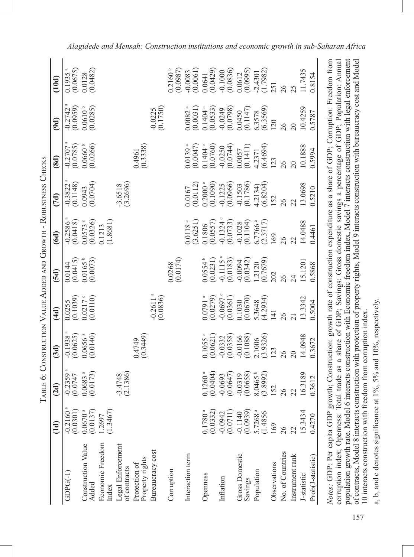|                                                                                                                                                                                                        |                                   | TABLE 6: CONSTRUCTION VALUE ADDED AND GROWTH - ROBUSTNESS CHECKS                                       |                                   |                                    |                                    |                                 |                             |                                   |                                   |                                                                                                           |
|--------------------------------------------------------------------------------------------------------------------------------------------------------------------------------------------------------|-----------------------------------|--------------------------------------------------------------------------------------------------------|-----------------------------------|------------------------------------|------------------------------------|---------------------------------|-----------------------------|-----------------------------------|-----------------------------------|-----------------------------------------------------------------------------------------------------------|
|                                                                                                                                                                                                        | (dd)                              | (2d)                                                                                                   | (3d)                              | (4d)                               | (5d)                               | (6d)                            | (7d)                        | (8d)                              | (9d)                              | (10d)                                                                                                     |
| $GDPG(-1)$                                                                                                                                                                                             | (0.0301)<br>$-0.2160$             | $-0.2359$<br>(0.0747)                                                                                  | (0.0625)<br>$-0.1938$             | (0.1039)<br>0.0255                 | (0.0415)<br>0.0144                 | (0.0418)<br>$-0.2586$           | (0.1148)<br>$-0.3822$       | $-0.2707$<br>(0.0785)             | $-0.2742$<br>(0.0959)             | (0.0675)<br>0.1935                                                                                        |
| <b>Construction Value</b><br>Added                                                                                                                                                                     | $0.0670$ <sup>a</sup><br>(0.0137) | $0.0683$ <sup>a</sup><br>(0.0173)                                                                      | $0.0656$ <sup>a</sup><br>(0.0140) | $0.0217$ $\degree$<br>(0.0110)     | $0.0165^{\circ}$<br>$(0.0073)$     | $0.0573$ $^{\circ}$<br>(0.0326) | (0.0704)<br>0.0943          | $0.0660$ <sup>b</sup><br>(0.0266) | $0.0610^{b}$<br>(0.0285)          | (0.0482)<br>0.0128                                                                                        |
| Economic Freedom<br>Index                                                                                                                                                                              | (1.3467)<br>1.2697                |                                                                                                        |                                   |                                    |                                    | (1.8681)<br>0.1213              |                             |                                   |                                   |                                                                                                           |
| Legal Enforcement<br>of contracts                                                                                                                                                                      |                                   | (2.1386)<br>$-3.4748$                                                                                  |                                   |                                    |                                    |                                 | $-3.6518$<br>(3.2696)       |                                   |                                   |                                                                                                           |
| Property rights<br>Protection of                                                                                                                                                                       |                                   |                                                                                                        | (0.3449)<br>0.4749                |                                    |                                    |                                 |                             | (0.3338)<br>0.4961                |                                   |                                                                                                           |
| Bureaucracy cost                                                                                                                                                                                       |                                   |                                                                                                        |                                   | $-0.2611$ <sup>a</sup><br>(0.0836) |                                    |                                 |                             |                                   | (0.1750)<br>$-0.0225$             |                                                                                                           |
| Corruption                                                                                                                                                                                             |                                   |                                                                                                        |                                   |                                    | (0.0174)<br>0.0268                 |                                 |                             |                                   |                                   | $0.2160^{\circ}$<br>(0.0987)                                                                              |
| Interaction term                                                                                                                                                                                       |                                   |                                                                                                        |                                   |                                    |                                    | 0.0118 <sup>a</sup><br>(3.6251) | (0.0112)<br>0.0167          | 0.0139 <sup>a</sup><br>(0.0047)   | $0.0082$ <sup>a</sup><br>(0.0031) | (0.0061)<br>$-0.0083$                                                                                     |
| Openness                                                                                                                                                                                               | (0.0332)<br>0.1780                | 0.1260 <sup>a</sup><br>(0.0404)                                                                        | 0.1055<br>(0.0621)                | $0.0791$ <sup>a</sup><br>(0.0279)  | 0.0554 <sup>b</sup><br>(0.0231)    | (0.0557)<br>0.1806              | $0.2000 \times$<br>(0.1090) | 0.1404<br>(0.0760)                | $0.1404$ <sup>a</sup><br>(0.0533) | (0.0429)<br>0.0641                                                                                        |
| Inflation                                                                                                                                                                                              | $-0.0942$<br>(0.0711)             | (0.0647)<br>$-0.0693$                                                                                  | $-0.0332$<br>$(0.0358)$           | $-0.0697$<br>(0.0361)              | $-0.1115$ <sup>a</sup><br>(0.0183) | $-0.1324$<br>(0.0733)           | (0.0966)<br>$-0.1225$       | $-0.0250$<br>$(0.0744)$           | (0.0798)<br>$-0.0249$             | (0.0836)<br>$-0.1000$                                                                                     |
| Gross Domestic<br>Savings                                                                                                                                                                              | (0.0939)<br>$-0.1140$             | (0.0658)<br>$-0.0319$                                                                                  | (0.1088)<br>$-0.0166$             | (0.0670)<br>0.1030                 | (0.0342)<br>$+600.0$               | (0.1104)<br>$-0.1028$           | $-0.1503$<br>$(0.1786)$     | (0.1411)<br>0.0057                | (0.1147)<br>0.0450                | (0.0995)<br>0.0612                                                                                        |
| Population                                                                                                                                                                                             | 5.7268 <sup>a</sup><br>(1.4856)   | 8.0465 <sup>b</sup><br>3.8992                                                                          | (3.9326)<br>2.1006                | (4.2934)<br>5.3648                 | (0.7679)<br>1.2120                 | 6.7766 <sup>a</sup><br>(2.3717) | (6.8204)<br>4.2134)         | (6.4694)<br>4.2371                | (6.3569)<br>6.3578                | $-2.4301$<br>(1.7982)                                                                                     |
| Observations                                                                                                                                                                                           | 169                               | 152                                                                                                    | 123                               | $\overline{41}$                    | 202                                | 169                             | 152                         | 123                               | 120                               | 251                                                                                                       |
| No. of Countries                                                                                                                                                                                       | 26                                | $\delta$                                                                                               | $\delta$                          | $\delta$                           | $\delta$                           | 26                              | 26                          | $\frac{8}{2}$                     | $\frac{8}{2}$                     | 26                                                                                                        |
| Instrument rank                                                                                                                                                                                        | 22                                | 22                                                                                                     |                                   |                                    |                                    |                                 |                             | $\overline{20}$                   | $\overline{20}$                   |                                                                                                           |
| I-statistic                                                                                                                                                                                            | 15.3434                           | 16.3189                                                                                                | 14.0948                           | 13.3342                            | 15.1201                            | 14.0488                         | 13.0698                     | 10.1888                           | 10.4259                           | 11.7435                                                                                                   |
| Prob(J-statistic)                                                                                                                                                                                      | 0.4270                            | 0.3612                                                                                                 | 0.3672                            | 0.5004                             | 0.5868                             | 0.4461                          | 0.5210                      | 0.5994                            | 0.5787                            | 0.8154                                                                                                    |
| population growth rate. Model 6 interacts construction with Economic freedom index, Model 7 interacts construction with legal enforcement<br>Notes: GDP: Per capita GDP<br>corruption index; Openness: |                                   | Total trade as a share of GDP; Savings: Gross domestic savings a percentage of GDP; Population: Annual |                                   |                                    |                                    |                                 |                             |                                   |                                   | growth; Construction: growth rate of construction expenditure as a share of GDP; Corruption: Freedom from |

a, b, and c denotes significance at  $1\%$ ,  $5\%$  and  $10\%$ , respectively. a, b, and c denotes significance at 1%, 5% and 10%, respectively.

10 interacts construction with freedom from corruption index.

10 interacts construction with freedom from corruption index.

population growth rate. Model 6 interacts construction with Economic freedom index, Model 7 interacts construction with legal enforcement of contracts, Model 8 interacts construction with protection of property rights, Model 9 interacts construction with bureaucracy cost and Model

of contracts, Model 8 interacts construction with protection of property rights, Model 9 interacts construction with bureaucracy cost and Model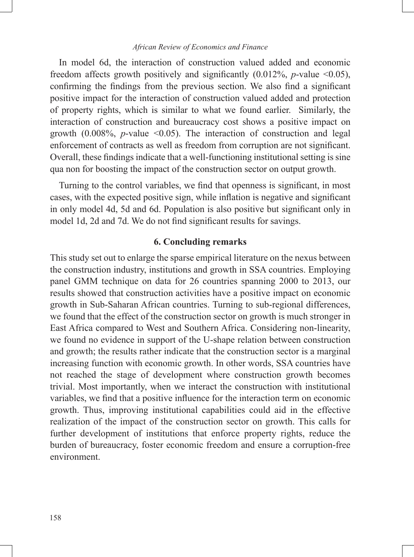In model 6d, the interaction of construction valued added and economic freedom affects growth positively and significantly  $(0.012\%, p-value < 0.05)$ , confirming the findings from the previous section. We also find a significant positive impact for the interaction of construction valued added and protection of property rights, which is similar to what we found earlier. Similarly, the interaction of construction and bureaucracy cost shows a positive impact on growth (0.008%, *p*-value <0.05). The interaction of construction and legal enforcement of contracts as well as freedom from corruption are not significant. Overall, these findings indicate that a well-functioning institutional setting is sine qua non for boosting the impact of the construction sector on output growth.

Turning to the control variables, we find that openness is significant, in most cases, with the expected positive sign, while inflation is negative and significant in only model 4d, 5d and 6d. Population is also positive but significant only in model 1d, 2d and 7d. We do not find significant results for savings.

# **6. Concluding remarks**

This study set out to enlarge the sparse empirical literature on the nexus between the construction industry, institutions and growth in SSA countries. Employing panel GMM technique on data for 26 countries spanning 2000 to 2013, our results showed that construction activities have a positive impact on economic growth in Sub-Saharan African countries. Turning to sub-regional differences, we found that the effect of the construction sector on growth is much stronger in East Africa compared to West and Southern Africa. Considering non-linearity, we found no evidence in support of the U-shape relation between construction and growth; the results rather indicate that the construction sector is a marginal increasing function with economic growth. In other words, SSA countries have not reached the stage of development where construction growth becomes trivial. Most importantly, when we interact the construction with institutional variables, we find that a positive influence for the interaction term on economic growth. Thus, improving institutional capabilities could aid in the effective realization of the impact of the construction sector on growth. This calls for further development of institutions that enforce property rights, reduce the burden of bureaucracy, foster economic freedom and ensure a corruption-free environment.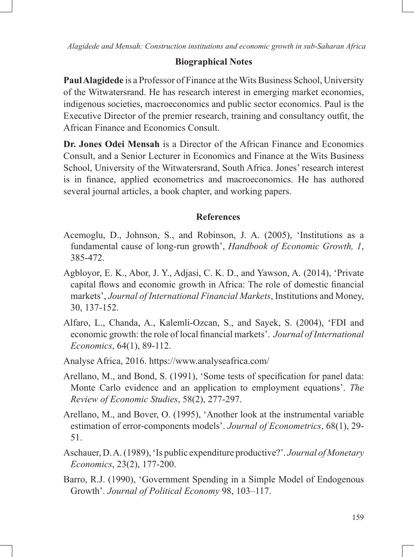# **Biographical Notes**

**Paul Alagidede** is a Professor of Finance at the Wits Business School, University of the Witwatersrand. He has research interest in emerging market economies, indigenous societies, macroeconomics and public sector economics. Paul is the Executive Director of the premier research, training and consultancy outfit, the African Finance and Economics Consult.

**Dr. Jones Odei Mensah** is a Director of the African Finance and Economics Consult, and a Senior Lecturer in Economics and Finance at the Wits Business School, University of the Witwatersrand, South Africa. Jones' research interest is in finance, applied econometrics and macroeconomics. He has authored several journal articles, a book chapter, and working papers.

# **References**

- Acemoglu, D., Johnson, S., and Robinson, J. A. (2005), 'Institutions as a fundamental cause of long-run growth', *Handbook of Economic Growth, 1*, 385-472.
- Agbloyor, E. K., Abor, J. Y., Adjasi, C. K. D., and Yawson, A. (2014), 'Private capital flows and economic growth in Africa: The role of domestic financial markets', *Journal of International Financial Markets*, Institutions and Money, 30, 137-152.
- Alfaro, L., Chanda, A., Kalemli-Ozcan, S., and Sayek, S. (2004), 'FDI and economic growth: the role of local financial markets'. *Journal of International Economics*, 64(1), 89-112.
- Analyse Africa, 2016. https://www.analyseafrica.com/
- Arellano, M., and Bond, S. (1991), 'Some tests of specification for panel data: Monte Carlo evidence and an application to employment equations'. *The Review of Economic Studies*, 58(2), 277-297.
- Arellano, M., and Bover, O. (1995), 'Another look at the instrumental variable estimation of error-components models'. *Journal of Econometrics*, 68(1), 29- 51.
- Aschauer, D. A. (1989), 'Is public expenditure productive?'. *Journal of Monetary Economics*, 23(2), 177-200.
- Barro, R.J. (1990), 'Government Spending in a Simple Model of Endogenous Growth'. *Journal of Political Economy* 98, 103–117.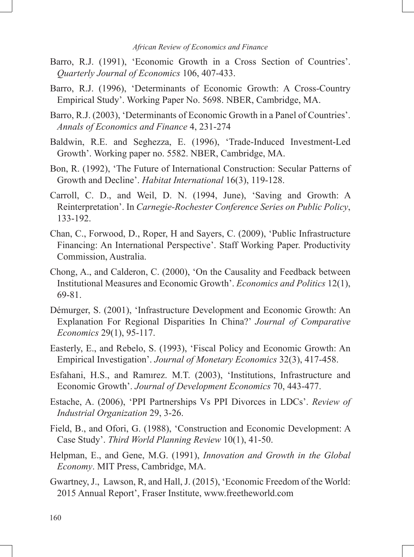- Barro, R.J. (1991), 'Economic Growth in a Cross Section of Countries'. *Quarterly Journal of Economics* 106, 407-433.
- Barro, R.J. (1996), 'Determinants of Economic Growth: A Cross-Country Empirical Study'. Working Paper No. 5698. NBER, Cambridge, MA.
- Barro, R.J. (2003), 'Determinants of Economic Growth in a Panel of Countries'. *Annals of Economics and Finance* 4, 231-274
- Baldwin, R.E. and Seghezza, E. (1996), 'Trade-Induced Investment-Led Growth'. Working paper no. 5582. NBER, Cambridge, MA.
- Bon, R. (1992), 'The Future of International Construction: Secular Patterns of Growth and Decline'. *Habitat International* 16(3), 119-128.
- Carroll, C. D., and Weil, D. N. (1994, June), 'Saving and Growth: A Reinterpretation'. In *Carnegie-Rochester Conference Series on Public Policy*, 133-192.
- Chan, C., Forwood, D., Roper, H and Sayers, C. (2009), 'Public Infrastructure Financing: An International Perspective'. Staff Working Paper. Productivity Commission, Australia.
- Chong, A., and Calderon, C. (2000), 'On the Causality and Feedback between Institutional Measures and Economic Growth'. *Economics and Politics* 12(1), 69-81.
- Démurger, S. (2001), 'Infrastructure Development and Economic Growth: An Explanation For Regional Disparities In China?' *Journal of Comparative Economics* 29(1), 95-117.
- Easterly, E., and Rebelo, S. (1993), 'Fiscal Policy and Economic Growth: An Empirical Investigation'. *Journal of Monetary Economics* 32(3), 417-458.
- Esfahani, H.S., and Ramırez. M.T. (2003), 'Institutions, Infrastructure and Economic Growth'. *Journal of Development Economics* 70, 443-477.
- Estache, A. (2006), 'PPI Partnerships Vs PPI Divorces in LDCs'. *Review of Industrial Organization* 29, 3-26.
- Field, B., and Ofori, G. (1988), 'Construction and Economic Development: A Case Study'. *Third World Planning Review* 10(1), 41-50.
- Helpman, E., and Gene, M.G. (1991), *Innovation and Growth in the Global Economy*. MIT Press, Cambridge, MA.
- Gwartney, J., Lawson, R, and Hall, J. (2015), 'Economic Freedom of the World: 2015 Annual Report', Fraser Institute, www.freetheworld.com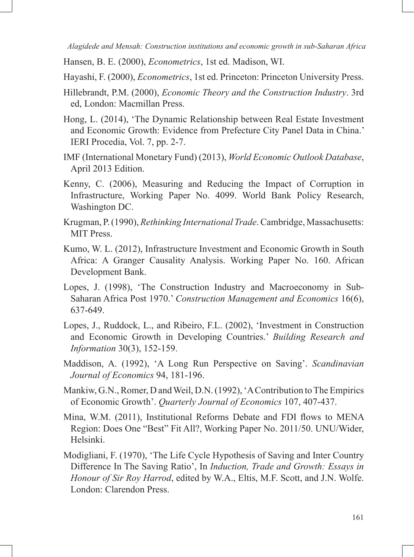Hansen, B. E. (2000), *Econometrics*, 1st ed. Madison, WI.

Hayashi, F. (2000), *Econometrics*, 1st ed. Princeton: Princeton University Press.

- Hillebrandt, P.M. (2000), *Economic Theory and the Construction Industry*. 3rd ed, London: Macmillan Press.
- Hong, L. (2014), 'The Dynamic Relationship between Real Estate Investment and Economic Growth: Evidence from Prefecture City Panel Data in China.' IERI Procedia, Vol. 7, pp. 2-7.
- IMF (International Monetary Fund) (2013), *World Economic Outlook Database*, April 2013 Edition.
- Kenny, C. (2006), Measuring and Reducing the Impact of Corruption in Infrastructure, Working Paper No. 4099. World Bank Policy Research, Washington DC.
- Krugman, P. (1990), *Rethinking International Trade*. Cambridge, Massachusetts: MIT Press.
- Kumo, W. L. (2012), Infrastructure Investment and Economic Growth in South Africa: A Granger Causality Analysis. Working Paper No. 160. African Development Bank.
- Lopes, J. (1998), 'The Construction Industry and Macroeconomy in Sub-Saharan Africa Post 1970.' *Construction Management and Economics* 16(6), 637-649.
- Lopes, J., Ruddock, L., and Ribeiro, F.L. (2002), 'Investment in Construction and Economic Growth in Developing Countries.' *Building Research and Information* 30(3), 152-159.
- Maddison, A. (1992), 'A Long Run Perspective on Saving'. *Scandinavian Journal of Economics* 94, 181-196.
- Mankiw, G.N., Romer, D and Weil, D.N. (1992), 'A Contribution to The Empirics of Economic Growth'. *Quarterly Journal of Economics* 107, 407-437.
- Mina, W.M. (2011), Institutional Reforms Debate and FDI flows to MENA Region: Does One "Best" Fit All?, Working Paper No. 2011/50. UNU/Wider, Helsinki.
- Modigliani, F. (1970), 'The Life Cycle Hypothesis of Saving and Inter Country Difference In The Saving Ratio', In *Induction, Trade and Growth: Essays in Honour of Sir Roy Harrod*, edited by W.A., Eltis, M.F. Scott, and J.N. Wolfe. London: Clarendon Press.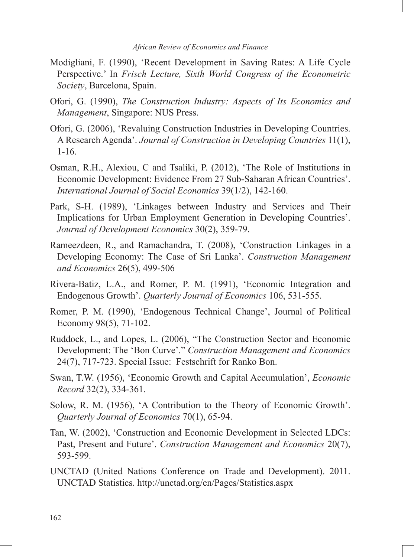- Modigliani, F. (1990), 'Recent Development in Saving Rates: A Life Cycle Perspective.' In *Frisch Lecture, Sixth World Congress of the Econometric Society*, Barcelona, Spain.
- Ofori, G. (1990), *The Construction Industry: Aspects of Its Economics and Management*, Singapore: NUS Press.
- Ofori, G. (2006), 'Revaluing Construction Industries in Developing Countries. A Research Agenda'. *Journal of Construction in Developing Countries* 11(1), 1-16.
- Osman, R.H., Alexiou, C and Tsaliki, P. (2012), 'The Role of Institutions in Economic Development: Evidence From 27 Sub-Saharan African Countries'. *International Journal of Social Economics* 39(1/2), 142-160.
- Park, S-H. (1989), 'Linkages between Industry and Services and Their Implications for Urban Employment Generation in Developing Countries'. *Journal of Development Economics* 30(2), 359-79.
- Rameezdeen, R., and Ramachandra, T. (2008), 'Construction Linkages in a Developing Economy: The Case of Sri Lanka'. *Construction Management and Economics* 26(5), 499-506
- Rivera-Batiz, L.A., and Romer, P. M. (1991), 'Economic Integration and Endogenous Growth'. *Quarterly Journal of Economics* 106, 531-555.
- Romer, P. M. (1990), 'Endogenous Technical Change', Journal of Political Economy 98(5), 71-102.
- Ruddock, L., and Lopes, L. (2006), "The Construction Sector and Economic Development: The 'Bon Curve'." *Construction Management and Economics*  24(7), 717-723. Special Issue: Festschrift for Ranko Bon.
- Swan, T.W. (1956), 'Economic Growth and Capital Accumulation', *Economic Record* 32(2), 334-361.
- Solow, R. M. (1956), 'A Contribution to the Theory of Economic Growth'. *Quarterly Journal of Economics* 70(1), 65-94.
- Tan, W. (2002), 'Construction and Economic Development in Selected LDCs: Past, Present and Future'. *Construction Management and Economics* 20(7), 593-599.
- UNCTAD (United Nations Conference on Trade and Development). 2011. UNCTAD Statistics. http://unctad.org/en/Pages/Statistics.aspx